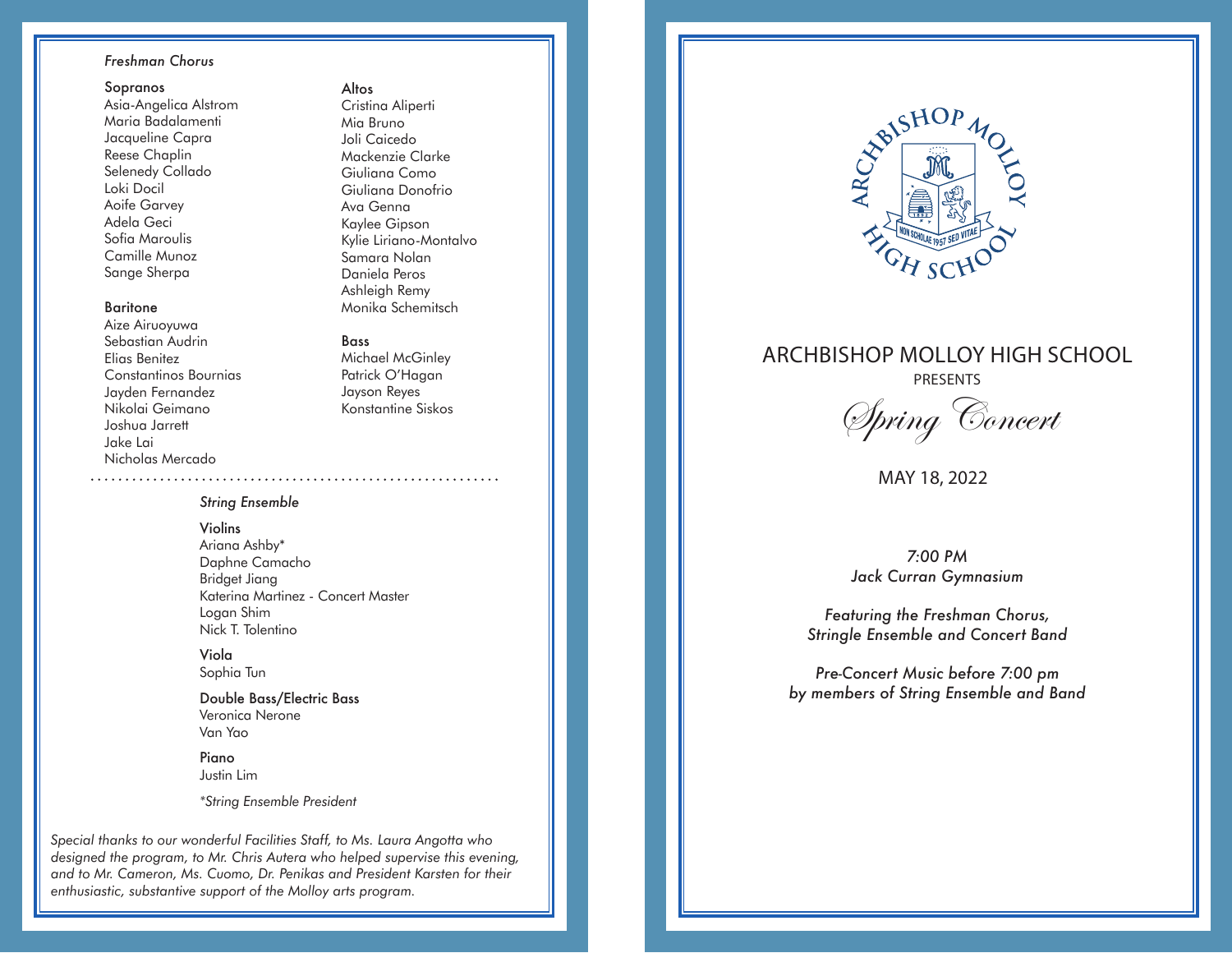## *Freshman Chorus*

### Sopranos

Asia-Angelica Alstrom Maria Badalamenti Jacqueline Capra Reese Chaplin Selenedy Collado Loki Docil Aoife Garvey Adela Geci Sofia Maroulis Camille Munoz Sange Sherpa

## Baritone

Aize Airuoyuwa Sebastian Audrin Elias Benitez Constantinos Bournias Jayden Fernandez Nikolai Geimano Joshua Jarrett Jake Lai Nicholas Mercado

Kaylee Gipson Kylie Liriano-Montalvo Samara Nolan Daniela Peros Ashleigh Remy Monika Schemitsch Bass

Altos

Cristina Aliperti Mia Bruno Joli Caicedo Mackenzie Clarke Giuliana Como Giuliana Donofrio Ava Genna

## Michael McGinley Patrick O'Hagan Jayson Reyes Konstantine Siskos

## *String Ensemble*

## Violins

Ariana Ashby\* Daphne Camacho Bridget Jiang Katerina Martinez - Concert Master Logan Shim Nick T. Tolentino

Viola Sophia Tun

Double Bass/Electric Bass Veronica Nerone Van Yao

Piano Justin Lim

*\*String Ensemble President*

*Special thanks to our wonderful Facilities Staff, to Ms. Laura Angotta who designed the program, to Mr. Chris Autera who helped supervise this evening, and to Mr. Cameron, Ms. Cuomo, Dr. Penikas and President Karsten for their enthusiastic, substantive support of the Molloy arts program.*



## ARCHBISHOP MOLLOY HIGH SCHOOL

PRESENTS

Spring Concert

MAY 18, 2022

*7:00 PM Jack Curran Gymnasium*

*Featuring the Freshman Chorus, Stringle Ensemble and Concert Band*

*Pre-Concert Music before 7:00 pm by members of String Ensemble and Band*